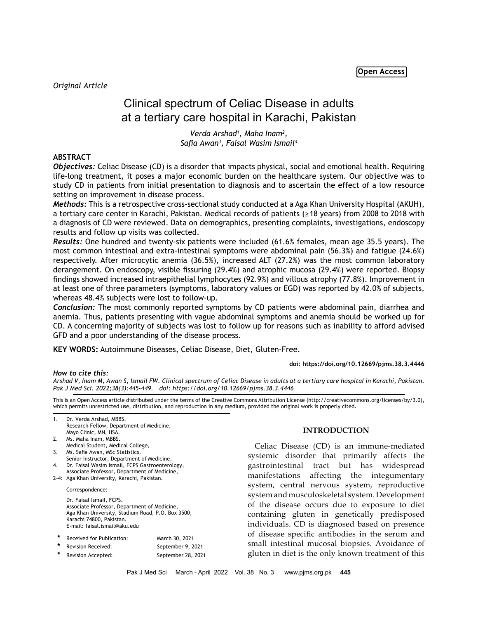# Clinical spectrum of Celiac Disease in adults at a tertiary care hospital in Karachi, Pakistan

*Verda Arshad1 , Maha Inam2 , Safia Awan<sup>3</sup> , Faisal Wasim Ismail4*

# **ABSTRACT**

*Objectives:* Celiac Disease (CD) is a disorder that impacts physical, social and emotional health. Requiring life-long treatment, it poses a major economic burden on the healthcare system. Our objective was to study CD in patients from initial presentation to diagnosis and to ascertain the effect of a low resource setting on improvement in disease process.

*Methods:* This is a retrospective cross-sectional study conducted at a Aga Khan University Hospital (AKUH), a tertiary care center in Karachi, Pakistan. Medical records of patients (≥18 years) from 2008 to 2018 with a diagnosis of CD were reviewed. Data on demographics, presenting complaints, investigations, endoscopy results and follow up visits was collected.

*Results:* One hundred and twenty-six patients were included (61.6% females, mean age 35.5 years). The most common intestinal and extra-intestinal symptoms were abdominal pain (56.3%) and fatigue (24.6%) respectively. After microcytic anemia (36.5%), increased ALT (27.2%) was the most common laboratory derangement. On endoscopy, visible fissuring (29.4%) and atrophic mucosa (29.4%) were reported. Biopsy findings showed increased intraepithelial lymphocytes (92.9%) and villous atrophy (77.8%). Improvement in at least one of three parameters (symptoms, laboratory values or EGD) was reported by 42.0% of subjects, whereas 48.4% subjects were lost to follow-up.

*Conclusion:* The most commonly reported symptoms by CD patients were abdominal pain, diarrhea and anemia. Thus, patients presenting with vague abdominal symptoms and anemia should be worked up for CD. A concerning majority of subjects was lost to follow up for reasons such as inability to afford advised GFD and a poor understanding of the disease process.

**KEY WORDS:** Autoimmune Diseases, Celiac Disease, Diet, Gluten-Free.

#### **doi: https://doi.org/10.12669/pjms.38.3.4446**

*Arshad V, Inam M, Awan S, Ismail FW. Clinical spectrum of Celiac Disease in adults at a tertiary care hospital in Karachi, Pakistan. Pak J Med Sci. 2022;38(3):445-449. doi: https://doi.org/10.12669/pjms.38.3.4446*

This is an Open Access article distributed under the terms of the Creative Commons Attribution License (http://creativecommons.org/licenses/by/3.0), which permits unrestricted use, distribution, and reproduction in any medium, provided the original work is properly cited.

|        | Research Fellow, Department of Medicine,<br>Mayo Clinic, MN, USA.                                                             |                    |
|--------|-------------------------------------------------------------------------------------------------------------------------------|--------------------|
|        |                                                                                                                               |                    |
| 2.     | Ms. Maha Inam, MBBS.                                                                                                          |                    |
|        | Medical Student, Medical College,                                                                                             |                    |
| 3.     | Ms. Safia Awan, MSc Statistics,                                                                                               |                    |
|        | Senior Instructor, Department of Medicine,                                                                                    |                    |
| 4.     | Dr. Faisal Wasim Ismail, FCPS Gastroenterology,                                                                               |                    |
|        | Associate Professor, Department of Medicine,                                                                                  |                    |
| 2-4:   | Aga Khan University, Karachi, Pakistan.                                                                                       |                    |
|        | Correspondence:                                                                                                               |                    |
|        | Dr. Faisal Ismail, FCPS.                                                                                                      |                    |
|        | Associate Professor, Department of Medicine,<br>Aga Khan University, Stadium Road, P.O. Box 3500,<br>Karachi 74800, Pakistan. |                    |
|        |                                                                                                                               |                    |
|        |                                                                                                                               |                    |
|        | E-mail: faisal.ismail@aku.edu                                                                                                 |                    |
| $\ast$ | Received for Publication:                                                                                                     |                    |
| $\ast$ |                                                                                                                               | March 30, 2021     |
|        | Revision Received:                                                                                                            | September 9, 2021  |
|        | <b>Revision Accepted:</b>                                                                                                     | September 28, 2021 |

1. Dr. Verda Arshad, MBBS.

*How to cite this:*

# **INTRODUCTION**

Celiac Disease (CD) is an immune-mediated systemic disorder that primarily affects the gastrointestinal tract but has widespread manifestations affecting the integumentary system, central nervous system, reproductive system and musculoskeletal system. Development of the disease occurs due to exposure to diet containing gluten in genetically predisposed individuals. CD is diagnosed based on presence of disease specific antibodies in the serum and small intestinal mucosal biopsies. Avoidance of gluten in diet is the only known treatment of this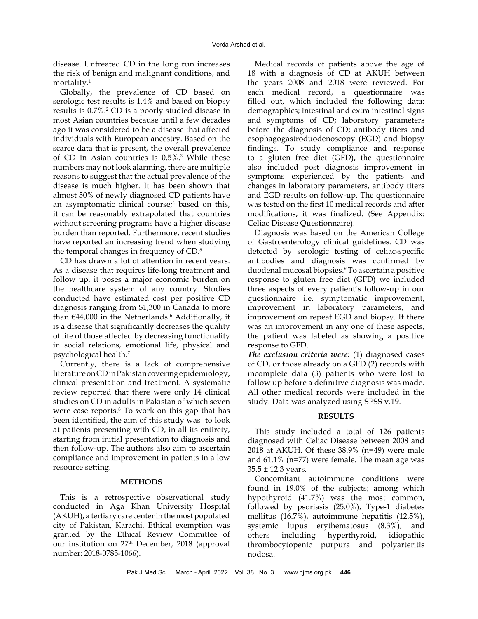disease. Untreated CD in the long run increases the risk of benign and malignant conditions, and mortality.1

Globally, the prevalence of CD based on serologic test results is 1.4% and based on biopsy results is  $0.7\%$ .<sup>2</sup> CD is a poorly studied disease in most Asian countries because until a few decades ago it was considered to be a disease that affected individuals with European ancestry. Based on the scarce data that is present, the overall prevalence of CD in Asian countries is 0.5%.3 While these numbers may not look alarming, there are multiple reasons to suggest that the actual prevalence of the disease is much higher. It has been shown that almost 50% of newly diagnosed CD patients have an asymptomatic clinical course;<sup>4</sup> based on this, it can be reasonably extrapolated that countries without screening programs have a higher disease burden than reported. Furthermore, recent studies have reported an increasing trend when studying the temporal changes in frequency of CD.5

CD has drawn a lot of attention in recent years. As a disease that requires life-long treatment and follow up, it poses a major economic burden on the healthcare system of any country. Studies conducted have estimated cost per positive CD diagnosis ranging from \$1,300 in Canada to more than  $€44,000$  in the Netherlands. $6$  Additionally, it is a disease that significantly decreases the quality of life of those affected by decreasing functionality in social relations, emotional life, physical and psychological health.7

Currently, there is a lack of comprehensive literature on CD in Pakistan covering epidemiology, clinical presentation and treatment. A systematic review reported that there were only 14 clinical studies on CD in adults in Pakistan of which seven were case reports.<sup>8</sup> To work on this gap that has been identified, the aim of this study was to look at patients presenting with CD, in all its entirety, starting from initial presentation to diagnosis and then follow-up. The authors also aim to ascertain compliance and improvement in patients in a low resource setting.

## **METHODS**

This is a retrospective observational study conducted in Aga Khan University Hospital (AKUH), a tertiary care center in the most populated city of Pakistan, Karachi. Ethical exemption was granted by the Ethical Review Committee of our institution on 27<sup>th</sup> December, 2018 (approval number: 2018-0785-1066).

Medical records of patients above the age of 18 with a diagnosis of CD at AKUH between the years 2008 and 2018 were reviewed. For each medical record, a questionnaire was filled out, which included the following data: demographics; intestinal and extra intestinal signs and symptoms of CD; laboratory parameters before the diagnosis of CD; antibody titers and esophagogastroduodenoscopy (EGD) and biopsy findings. To study compliance and response to a gluten free diet (GFD), the questionnaire also included post diagnosis improvement in symptoms experienced by the patients and changes in laboratory parameters, antibody titers and EGD results on follow-up. The questionnaire was tested on the first 10 medical records and after modifications, it was finalized. (See Appendix: Celiac Disease Questionnaire).

Diagnosis was based on the American College of Gastroenterology clinical guidelines. CD was detected by serologic testing of celiac-specific antibodies and diagnosis was confirmed by duodenal mucosal biopsies.9 To ascertain a positive response to gluten free diet (GFD) we included three aspects of every patient's follow-up in our questionnaire i.e. symptomatic improvement, improvement in laboratory parameters, and improvement on repeat EGD and biopsy. If there was an improvement in any one of these aspects, the patient was labeled as showing a positive response to GFD.

*The exclusion criteria were:* (1) diagnosed cases of CD, or those already on a GFD (2) records with incomplete data (3) patients who were lost to follow up before a definitive diagnosis was made. All other medical records were included in the study. Data was analyzed using SPSS v.19.

## **RESULTS**

This study included a total of 126 patients diagnosed with Celiac Disease between 2008 and 2018 at AKUH. Of these 38.9% (n=49) were male and 61.1% (n=77) were female. The mean age was 35.5 ± 12.3 years.

Concomitant autoimmune conditions were found in 19.0% of the subjects; among which hypothyroid (41.7%) was the most common, followed by psoriasis (25.0%), Type-1 diabetes mellitus (16.7%), autoimmune hepatitis (12.5%), systemic lupus erythematosus (8.3%), and others including hyperthyroid, idiopathic thrombocytopenic purpura and polyarteritis nodosa.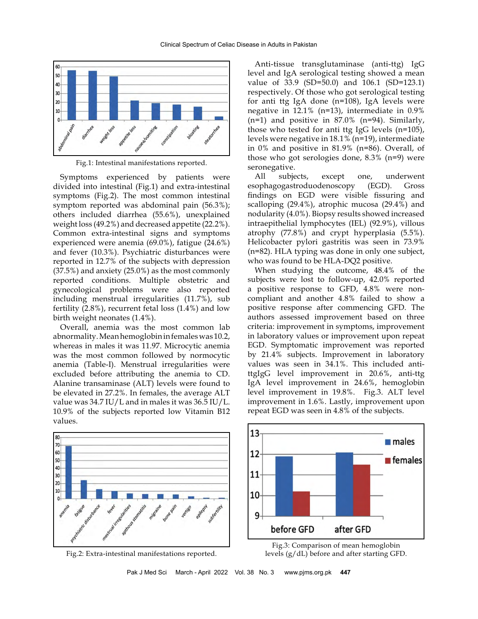

Fig.1: Intestinal manifestations reported.

Symptoms experienced by patients were divided into intestinal (Fig.1) and extra-intestinal symptoms (Fig.2). The most common intestinal symptom reported was abdominal pain (56.3%); others included diarrhea (55.6%), unexplained weight loss (49.2%) and decreased appetite (22.2%). Common extra-intestinal signs and symptoms experienced were anemia (69.0%), fatigue (24.6%) and fever (10.3%). Psychiatric disturbances were reported in 12.7% of the subjects with depression (37.5%) and anxiety (25.0%) as the most commonly reported conditions. Multiple obstetric and gynecological problems were also reported including menstrual irregularities (11.7%), sub fertility (2.8%), recurrent fetal loss (1.4%) and low birth weight neonates (1.4%).

Overall, anemia was the most common lab abnormality. Mean hemoglobin in females was 10.2, whereas in males it was 11.97. Microcytic anemia was the most common followed by normocytic anemia (Table-I). Menstrual irregularities were excluded before attributing the anemia to CD. Alanine transaminase (ALT) levels were found to be elevated in 27.2%. In females, the average ALT value was 34.7 IU/L and in males it was 36.5 IU/L. 10.9% of the subjects reported low Vitamin B12 values.

Anti-tissue transglutaminase (anti-ttg) IgG level and IgA serological testing showed a mean value of 33.9 (SD=50.0) and 106.1 (SD=123.1) respectively. Of those who got serological testing for anti ttg IgA done (n=108), IgA levels were negative in 12.1% (n=13), intermediate in 0.9%  $(n=1)$  and positive in 87.0%  $(n=94)$ . Similarly, those who tested for anti ttg IgG levels (n=105), levels were negative in 18.1% (n=19), intermediate in 0% and positive in 81.9% (n=86). Overall, of those who got serologies done, 8.3% (n=9) were seronegative.

All subjects, except one, underwent esophagogastroduodenoscopy (EGD). Gross findings on EGD were visible fissuring and scalloping (29.4%), atrophic mucosa (29.4%) and nodularity (4.0%). Biopsy results showed increased intraepithelial lymphocytes (IEL) (92.9%), villous atrophy (77.8%) and crypt hyperplasia (5.5%). Helicobacter pylori gastritis was seen in 73.9% (n=82). HLA typing was done in only one subject, who was found to be HLA-DQ2 positive.

When studying the outcome, 48.4% of the subjects were lost to follow-up, 42.0% reported a positive response to GFD, 4.8% were noncompliant and another 4.8% failed to show a positive response after commencing GFD. The authors assessed improvement based on three criteria: improvement in symptoms, improvement in laboratory values or improvement upon repeat EGD. Symptomatic improvement was reported by 21.4% subjects. Improvement in laboratory values was seen in 34.1%. This included antittgIgG level improvement in 20.6%, anti-ttg IgA level improvement in 24.6%, hemoglobin level improvement in 19.8%. Fig.3. ALT level improvement in 1.6%. Lastly, improvement upon repeat EGD was seen in 4.8% of the subjects.







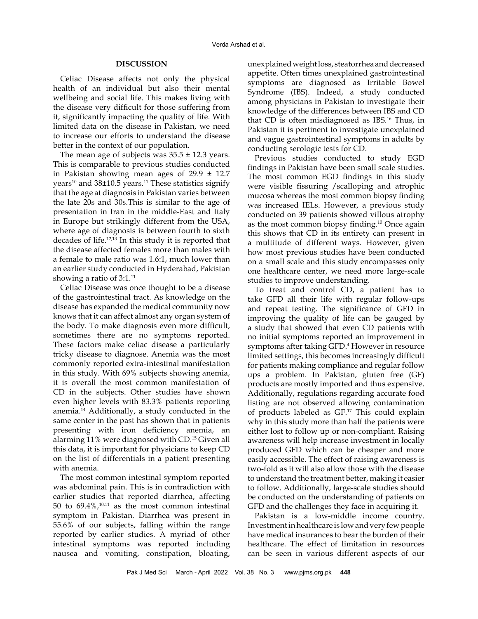## **DISCUSSION**

Celiac Disease affects not only the physical health of an individual but also their mental wellbeing and social life. This makes living with the disease very difficult for those suffering from it, significantly impacting the quality of life. With limited data on the disease in Pakistan, we need to increase our efforts to understand the disease better in the context of our population.

The mean age of subjects was  $35.5 \pm 12.3$  years. This is comparable to previous studies conducted in Pakistan showing mean ages of  $29.9 \pm 12.7$ years<sup>10</sup> and 38 $\pm$ 10.5 years.<sup>11</sup> These statistics signify that the age at diagnosis in Pakistan varies between the late 20s and 30s.This is similar to the age of presentation in Iran in the middle-East and Italy in Europe but strikingly different from the USA, where age of diagnosis is between fourth to sixth decades of life.12,13 In this study it is reported that the disease affected females more than males with a female to male ratio was 1.6:1, much lower than an earlier study conducted in Hyderabad, Pakistan showing a ratio of 3:1.<sup>11</sup>

Celiac Disease was once thought to be a disease of the gastrointestinal tract. As knowledge on the disease has expanded the medical community now knows that it can affect almost any organ system of the body. To make diagnosis even more difficult, sometimes there are no symptoms reported. These factors make celiac disease a particularly tricky disease to diagnose. Anemia was the most commonly reported extra-intestinal manifestation in this study. With 69% subjects showing anemia, it is overall the most common manifestation of CD in the subjects. Other studies have shown even higher levels with 83.3% patients reporting anemia.14 Additionally, a study conducted in the same center in the past has shown that in patients presenting with iron deficiency anemia, an alarming 11% were diagnosed with CD.15 Given all this data, it is important for physicians to keep CD on the list of differentials in a patient presenting with anemia.

The most common intestinal symptom reported was abdominal pain. This is in contradiction with earlier studies that reported diarrhea, affecting 50 to  $69.4\%$ ,<sup>10,11</sup> as the most common intestinal symptom in Pakistan. Diarrhea was present in 55.6% of our subjects, falling within the range reported by earlier studies. A myriad of other intestinal symptoms was reported including nausea and vomiting, constipation, bloating,

unexplained weight loss, steatorrhea and decreased appetite. Often times unexplained gastrointestinal symptoms are diagnosed as Irritable Bowel Syndrome (IBS). Indeed, a study conducted among physicians in Pakistan to investigate their knowledge of the differences between IBS and CD that CD is often misdiagnosed as IBS.16 Thus, in Pakistan it is pertinent to investigate unexplained and vague gastrointestinal symptoms in adults by conducting serologic tests for CD.

Previous studies conducted to study EGD findings in Pakistan have been small scale studies. The most common EGD findings in this study were visible fissuring /scalloping and atrophic mucosa whereas the most common biopsy finding was increased IELs. However, a previous study conducted on 39 patients showed villous atrophy as the most common biopsy finding.10 Once again this shows that CD in its entirety can present in a multitude of different ways. However, given how most previous studies have been conducted on a small scale and this study encompasses only one healthcare center, we need more large-scale studies to improve understanding.

To treat and control CD, a patient has to take GFD all their life with regular follow-ups and repeat testing. The significance of GFD in improving the quality of life can be gauged by a study that showed that even CD patients with no initial symptoms reported an improvement in symptoms after taking GFD.4 However in resource limited settings, this becomes increasingly difficult for patients making compliance and regular follow ups a problem. In Pakistan, gluten free (GF) products are mostly imported and thus expensive. Additionally, regulations regarding accurate food listing are not observed allowing contamination of products labeled as GF.<sup>17</sup> This could explain why in this study more than half the patients were either lost to follow up or non-compliant. Raising awareness will help increase investment in locally produced GFD which can be cheaper and more easily accessible. The effect of raising awareness is two-fold as it will also allow those with the disease to understand the treatment better, making it easier to follow. Additionally, large-scale studies should be conducted on the understanding of patients on GFD and the challenges they face in acquiring it.

Pakistan is a low-middle income country. Investment in healthcare is low and very few people have medical insurances to bear the burden of their healthcare. The effect of limitation in resources can be seen in various different aspects of our